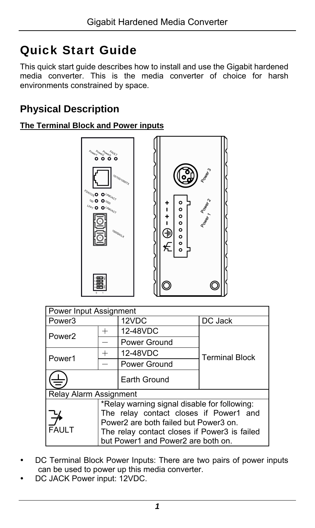# <span id="page-0-0"></span>Quick Start Guide

This quick start guide describes how to install and use the Gigabit hardened media converter. This is the media converter of choice for harsh environments constrained by space.

### **Physical Description**

#### **The Terminal Block and Power inputs**



| Power Input Assignment |      |                                                                                                                                                                                                                       |                       |
|------------------------|------|-----------------------------------------------------------------------------------------------------------------------------------------------------------------------------------------------------------------------|-----------------------|
| Power <sub>3</sub>     |      | 12VDC                                                                                                                                                                                                                 | DC Jack               |
| Power <sub>2</sub>     | $^+$ | 12-48VDC                                                                                                                                                                                                              |                       |
|                        |      | Power Ground                                                                                                                                                                                                          |                       |
| Power1                 | $^+$ | 12-48VDC                                                                                                                                                                                                              | <b>Terminal Block</b> |
|                        |      | Power Ground                                                                                                                                                                                                          |                       |
|                        |      | Earth Ground                                                                                                                                                                                                          |                       |
| Relay Alarm Assignment |      |                                                                                                                                                                                                                       |                       |
| <b>FAULT</b>           |      | *Relay warning signal disable for following:<br>The relay contact closes if Power1 and<br>Power2 are both failed but Power3 on.<br>The relay contact closes if Power3 is failed<br>but Power1 and Power2 are both on. |                       |

- DC Terminal Block Power Inputs: There are two pairs of power inputs can be used to power up this media converter.
- DC JACK Power input: 12VDC.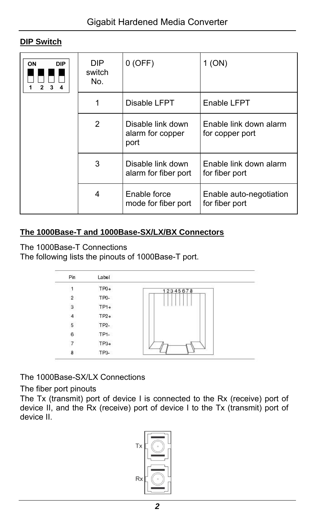#### **DIP Switch**

| DIP.<br>ON<br>3<br>2<br>4 | <b>DIP</b><br>switch<br>No. | $0$ (OFF)                                     | 1 (ON)                                    |
|---------------------------|-----------------------------|-----------------------------------------------|-------------------------------------------|
|                           | 1                           | Disable LFPT                                  | Enable LFPT                               |
|                           | 2                           | Disable link down<br>alarm for copper<br>port | Enable link down alarm<br>for copper port |
|                           | 3                           | Disable link down<br>alarm for fiber port     | Enable link down alarm<br>for fiber port  |
|                           | 4                           | Enable force<br>mode for fiber port           | Enable auto-negotiation<br>for fiber port |

#### **The 1000Base-T and 1000Base-SX/LX/BX Connectors**

The 1000Base-T Connections

The following lists the pinouts of 1000Base-T port.



The 1000Base-SX/LX Connections

The fiber port pinouts

The Tx (transmit) port of device I is connected to the Rx (receive) port of device II, and the Rx (receive) port of device I to the Tx (transmit) port of device II.

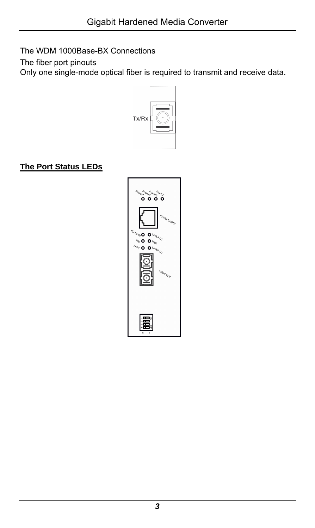The WDM 1000Base-BX Connections

The fiber port pinouts

Only one single-mode optical fiber is required to transmit and receive data.



#### **The Port Status LEDs**

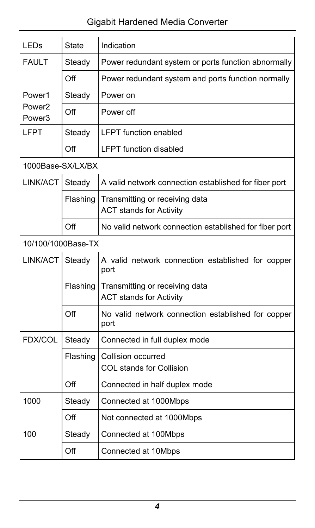#### Gigabit Hardened Media Converter

| LED <sub>s</sub>                         | <b>State</b> | Indication                                                       |
|------------------------------------------|--------------|------------------------------------------------------------------|
| <b>FAULT</b>                             | Steady       | Power redundant system or ports function abnormally              |
|                                          | Off          | Power redundant system and ports function normally               |
| Power1                                   | Steady       | Power on                                                         |
| Power <sub>2</sub><br>Power <sub>3</sub> | Off          | Power off                                                        |
| LFPT                                     | Steady       | <b>LFPT</b> function enabled                                     |
|                                          | Off          | <b>LFPT</b> function disabled                                    |
| 1000Base-SX/LX/BX                        |              |                                                                  |
| LINK/ACT                                 | Steady       | A valid network connection established for fiber port            |
|                                          | Flashing     | Transmitting or receiving data<br><b>ACT stands for Activity</b> |
|                                          | Off          | No valid network connection established for fiber port           |
| 10/100/1000Base-TX                       |              |                                                                  |
| LINK/ACT                                 | Steady       | A valid network connection established for copper<br>port        |
|                                          | Flashing     | Transmitting or receiving data<br><b>ACT stands for Activity</b> |
|                                          | Off          | No valid network connection established for copper<br>port       |
| FDX/COL                                  | Steady       | Connected in full duplex mode                                    |
|                                          | Flashing     | Collision occurred<br>COL stands for Collision                   |
|                                          | Off          | Connected in half duplex mode                                    |
| 1000                                     | Steady       | Connected at 1000Mbps                                            |
|                                          | Off          | Not connected at 1000Mbps                                        |
| 100                                      | Steady       | Connected at 100Mbps                                             |
|                                          | Off          | Connected at 10Mbps                                              |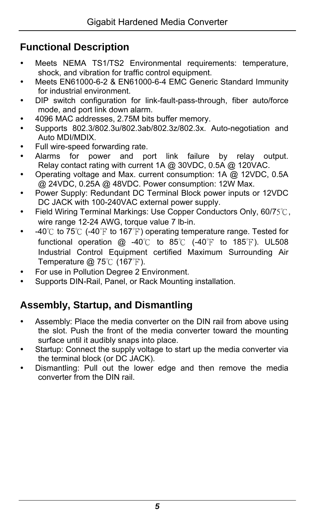### <span id="page-4-0"></span>**Functional Description**

- Meets NEMA TS1/TS2 Environmental requirements: temperature, shock, and vibration for traffic control equipment.
- Meets EN61000-6-2 & EN61000-6-4 EMC Generic Standard Immunity for industrial environment.
- DIP switch configuration for link-fault-pass-through, fiber auto/force mode, and port link down alarm.
- 4096 MAC addresses, 2.75M bits buffer memory.
- y Supports 802.3/802.3u/802.3ab/802.3z/802.3x. Auto-negotiation and Auto MDI/MDIX.
- Full wire-speed forwarding rate.
- Alarms for power and port link failure by relay output. Relay contact rating with current 1A @ 30VDC, 0.5A @ 120VAC.
- Operating voltage and Max. current consumption: 1A @ 12VDC, 0.5A @ 24VDC, 0.25A @ 48VDC. Power consumption: 12W Max.
- Power Supply: Redundant DC Terminal Block power inputs or 12VDC DC JACK with 100-240VAC external power supply.
- Field Wiring Terminal Markings: Use Copper Conductors Only, 60/75℃, wire range 12-24 AWG, torque value 7 lb-in.
- -40 $\degree$  to 75 $\degree$  (-40 $\degree$ F to 167 $\degree$ F) operating temperature range. Tested for functional operation  $@$  -40°C to 85°C (-40°F to 185°F). UL508 Industrial Control Equipment certified Maximum Surrounding Air Temperature @ 75℃ (167℉).
- For use in Pollution Degree 2 Environment.
- Supports DIN-Rail, Panel, or Rack Mounting installation.

## **Assembly, Startup, and Dismantling**

- Assembly: Place the media converter on the DIN rail from above using the slot. Push the front of the media converter toward the mounting surface until it audibly snaps into place.
- Startup: Connect the supply voltage to start up the media converter via the terminal block (or DC JACK).
- Dismantling: Pull out the lower edge and then remove the media converter from the DIN rail.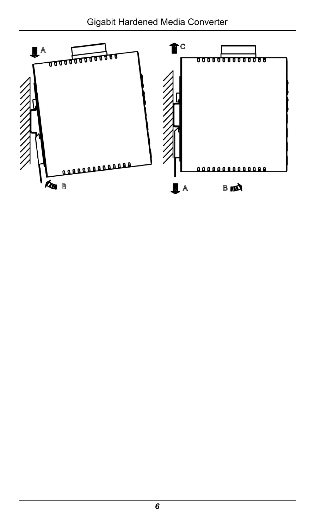Gigabit Hardened Media Converter

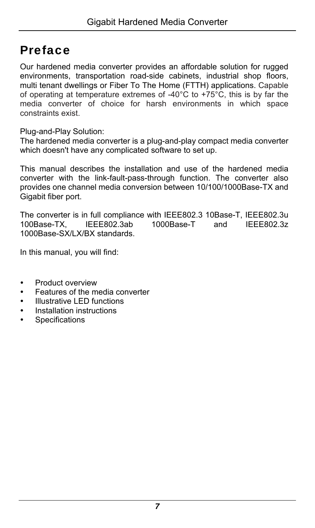## <span id="page-6-0"></span>Preface

Our hardened media converter provides an affordable solution for rugged environments, transportation road-side cabinets, industrial shop floors, multi tenant dwellings or Fiber To The Home (FTTH) applications. Capable of operating at temperature extremes of -40°C to +75°C, this is by far the media converter of choice for harsh environments in which space constraints exist.

Plug-and-Play Solution:

The hardened media converter is a plug-and-play compact media converter which doesn't have any complicated software to set up.

This manual describes the installation and use of the hardened media converter with the link-fault-pass-through function. The converter also provides one channel media conversion between 10/100/1000Base-TX and Gigabit fiber port.

The converter is in full compliance with IEEE802.3 10Base-T, IEEE802.3u 100Base-TX, IEEE802.3ab 1000Base-T and IEEE802.3z 1000Base-SX/LX/BX standards.

In this manual, you will find:

- Product overview
- Features of the media converter
- Illustrative LED functions
- Installation instructions
- Specifications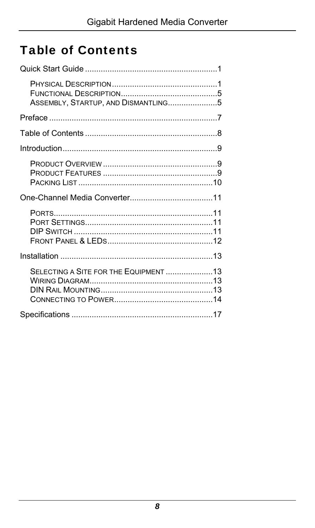# <span id="page-7-0"></span>**Table of Contents**

| ASSEMBLY, STARTUP, AND DISMANTLING5   |  |
|---------------------------------------|--|
|                                       |  |
|                                       |  |
|                                       |  |
|                                       |  |
|                                       |  |
|                                       |  |
|                                       |  |
| SELECTING A SITE FOR THE EQUIPMENT 13 |  |
|                                       |  |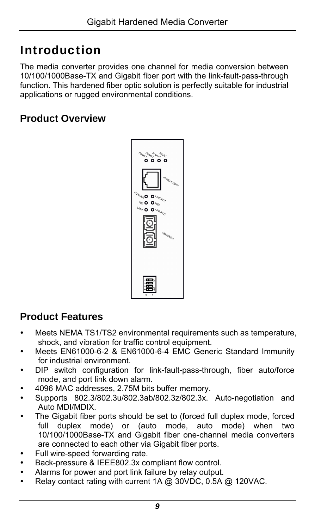## <span id="page-8-0"></span>Introduction

The media converter provides one channel for media conversion between 10/100/1000Base-TX and Gigabit fiber port with the link-fault-pass-through function. This hardened fiber optic solution is perfectly suitable for industrial applications or rugged environmental conditions.

#### **Product Overview**



### **Product Features**

- Meets NEMA TS1/TS2 environmental requirements such as temperature, shock, and vibration for traffic control equipment.
- Meets EN61000-6-2 & EN61000-6-4 EMC Generic Standard Immunity for industrial environment.
- DIP switch configuration for link-fault-pass-through, fiber auto/force mode, and port link down alarm.
- 4096 MAC addresses, 2.75M bits buffer memory.
- y Supports 802.3/802.3u/802.3ab/802.3z/802.3x. Auto-negotiation and Auto MDI/MDIX.
- The Gigabit fiber ports should be set to (forced full duplex mode, forced full duplex mode) or (auto mode, auto mode) when two duplex mode) or (auto mode, auto mode) when two 10/100/1000Base-TX and Gigabit fiber one-channel media converters are connected to each other via Gigabit fiber ports.
- Full wire-speed forwarding rate.
- Back-pressure & IEEE802.3x compliant flow control.
- Alarms for power and port link failure by relay output.
- Relay contact rating with current 1A @ 30VDC, 0.5A @ 120VAC.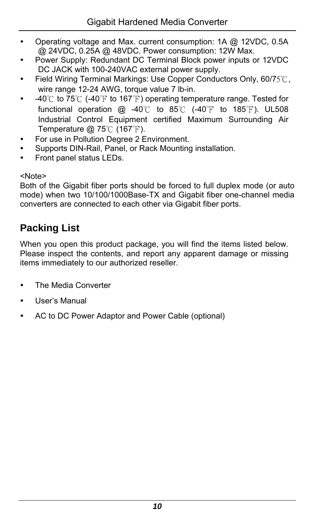- <span id="page-9-0"></span>• Operating voltage and Max. current consumption: 1A @ 12VDC, 0.5A @ 24VDC, 0.25A @ 48VDC. Power consumption: 12W Max.
- Power Supply: Redundant DC Terminal Block power inputs or 12VDC DC JACK with 100-240VAC external power supply.
- Field Wiring Terminal Markings: Use Copper Conductors Only, 60/75℃, wire range 12-24 AWG, torque value 7 lb-in.
- -40℃ to  $75^{\circ}$  (-40°F to 167°F) operating temperature range. Tested for functional operation  $@$  -40℃ to 85℃ (-40°F to 185°F). UL508 Industrial Control Equipment certified Maximum Surrounding Air Temperature @ 75℃ (167℉).
- For use in Pollution Degree 2 Environment.
- Supports DIN-Rail, Panel, or Rack Mounting installation.
- Front panel status LEDs.

#### <Note>

Both of the Gigabit fiber ports should be forced to full duplex mode (or auto mode) when two 10/100/1000Base-TX and Gigabit fiber one-channel media converters are connected to each other via Gigabit fiber ports.

## **Packing List**

When you open this product package, you will find the items listed below. Please inspect the contents, and report any apparent damage or missing items immediately to our authorized reseller.

- The Media Converter
- User's Manual
- AC to DC Power Adaptor and Power Cable (optional)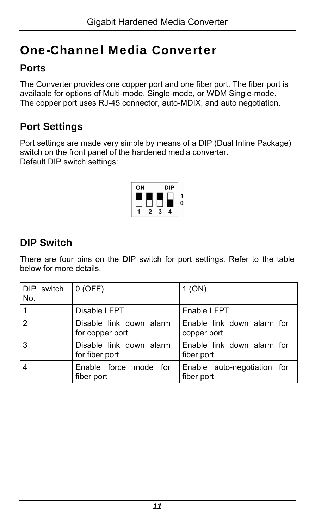# <span id="page-10-0"></span>One-Channel Media Converter

### **Ports**

The Converter provides one copper port and one fiber port. The fiber port is available for options of Multi-mode, Single-mode, or WDM Single-mode. The copper port uses RJ-45 connector, auto-MDIX, and auto negotiation.

### **Port Settings**

Port settings are made very simple by means of a DIP (Dual Inline Package) switch on the front panel of the hardened media converter. Default DIP switch settings:



#### **DIP Switch**

There are four pins on the DIP switch for port settings. Refer to the table below for more details.

| DIP switch<br>No. | $0$ (OFF)                                  | 1 (ON)                                    |
|-------------------|--------------------------------------------|-------------------------------------------|
|                   | Disable LFPT                               | Enable LFPT                               |
| $\overline{2}$    | Disable link down alarm<br>for copper port | Enable link down alarm for<br>copper port |
| 3                 | Disable link down alarm<br>for fiber port  | Enable link down alarm for<br>fiber port  |
| 4                 | Enable force mode for<br>fiber port        | Enable auto-negotiation for<br>fiber port |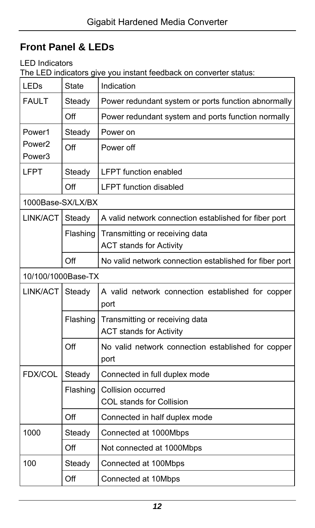### <span id="page-11-0"></span>**Front Panel & LEDs**

LED Indicators The LED indicators give you instant feedback on converter status:

| LEDs                                     | <b>State</b> | Indication                                                       |
|------------------------------------------|--------------|------------------------------------------------------------------|
| <b>FAULT</b>                             | Steady       | Power redundant system or ports function abnormally              |
|                                          | Off          | Power redundant system and ports function normally               |
| Power1                                   | Steady       | Power on                                                         |
| Power <sub>2</sub><br>Power <sub>3</sub> | Off          | Power off                                                        |
| LFPT                                     | Steady       | <b>LFPT</b> function enabled                                     |
|                                          | Off          | <b>LFPT</b> function disabled                                    |
| 1000Base-SX/LX/BX                        |              |                                                                  |
| LINK/ACT                                 | Steady       | A valid network connection established for fiber port            |
|                                          | Flashing     | Transmitting or receiving data<br><b>ACT stands for Activity</b> |
|                                          | Off          | No valid network connection established for fiber port           |
| 10/100/1000Base-TX                       |              |                                                                  |
|                                          |              |                                                                  |
| LINK/ACT                                 | Steady       | A valid network connection established for copper<br>port        |
|                                          | Flashing     | Transmitting or receiving data<br><b>ACT stands for Activity</b> |
|                                          | Off          | No valid network connection established for copper<br>port       |
| FDX/COL                                  | Steady       | Connected in full duplex mode                                    |
|                                          | Flashing     | Collision occurred<br><b>COL stands for Collision</b>            |
|                                          | Off          | Connected in half duplex mode                                    |
| 1000                                     | Steady       | Connected at 1000Mbps                                            |
|                                          | Off          | Not connected at 1000Mbps                                        |
| 100                                      | Steady       | Connected at 100Mbps                                             |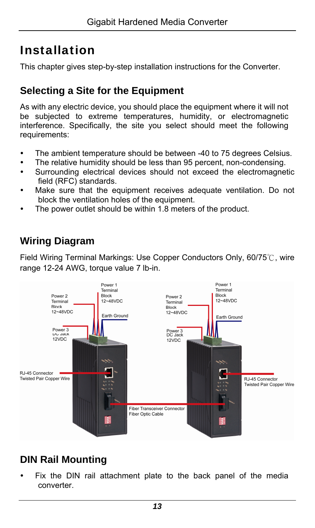# <span id="page-12-0"></span>Installation

This chapter gives step-by-step installation instructions for the Converter.

### **Selecting a Site for the Equipment**

As with any electric device, you should place the equipment where it will not be subjected to extreme temperatures, humidity, or electromagnetic interference. Specifically, the site you select should meet the following requirements:

- The ambient temperature should be between -40 to 75 degrees Celsius.
- The relative humidity should be less than 95 percent, non-condensing.
- Surrounding electrical devices should not exceed the electromagnetic field (RFC) standards.
- Make sure that the equipment receives adequate ventilation. Do not block the ventilation holes of the equipment.
- The power outlet should be within 1.8 meters of the product.

## **Wiring Diagram**

Field Wiring Terminal Markings: Use Copper Conductors Only, 60/75℃, wire range 12-24 AWG, torque value 7 lb-in.



## **DIN Rail Mounting**

Fix the DIN rail attachment plate to the back panel of the media converter.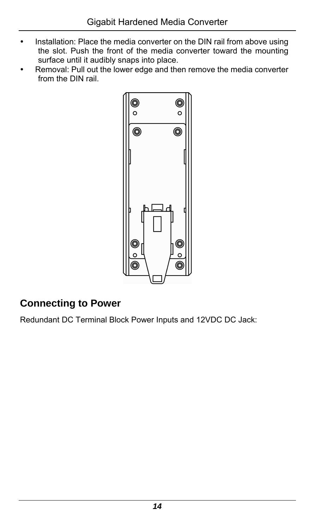- <span id="page-13-0"></span>Installation: Place the media converter on the DIN rail from above using the slot. Push the front of the media converter toward the mounting surface until it audibly snaps into place.
- Removal: Pull out the lower edge and then remove the media converter from the DIN rail.



#### **Connecting to Power**

Redundant DC Terminal Block Power Inputs and 12VDC DC Jack: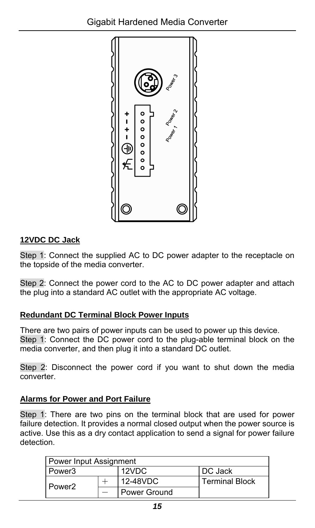

#### **12VDC DC Jack**

Step 1: Connect the supplied AC to DC power adapter to the receptacle on the topside of the media converter.

Step 2: Connect the power cord to the AC to DC power adapter and attach the plug into a standard AC outlet with the appropriate AC voltage.

#### **Redundant DC Terminal Block Power Inputs**

There are two pairs of power inputs can be used to power up this device. Step 1: Connect the DC power cord to the plug-able terminal block on the media converter, and then plug it into a standard DC outlet.

Step 2: Disconnect the power cord if you want to shut down the media converter.

#### **Alarms for Power and Port Failure**

Step 1: There are two pins on the terminal block that are used for power failure detection. It provides a normal closed output when the power source is active. Use this as a dry contact application to send a signal for power failure detection.

| Power Input Assignment |  |              |                       |
|------------------------|--|--------------|-----------------------|
| Power <sub>3</sub>     |  | 12VDC        | DC Jack               |
| l Power2               |  | 12-48VDC     | <b>Terminal Block</b> |
|                        |  | Power Ground |                       |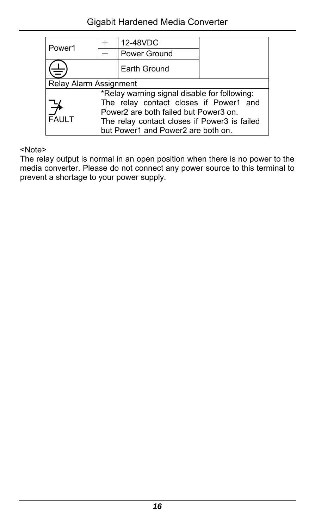#### Gigabit Hardened Media Converter

| Power1       |                                                                                                                                                                                                                       | 12-48VDC     |  |
|--------------|-----------------------------------------------------------------------------------------------------------------------------------------------------------------------------------------------------------------------|--------------|--|
|              |                                                                                                                                                                                                                       | Power Ground |  |
| $\pm$        |                                                                                                                                                                                                                       | Earth Ground |  |
|              | Relay Alarm Assignment                                                                                                                                                                                                |              |  |
| <b>FAULT</b> | *Relay warning signal disable for following:<br>The relay contact closes if Power1 and<br>Power2 are both failed but Power3 on.<br>The relay contact closes if Power3 is failed<br>but Power1 and Power2 are both on. |              |  |

<Note>

The relay output is normal in an open position when there is no power to the media converter. Please do not connect any power source to this terminal to prevent a shortage to your power supply.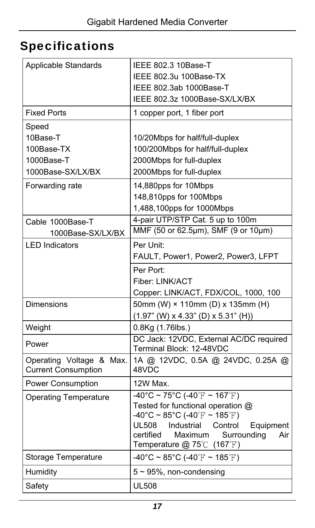# <span id="page-16-0"></span>Specifications

| Applicable Standards                                   | IEEE 802.3 10Base-T                                                                                                 |
|--------------------------------------------------------|---------------------------------------------------------------------------------------------------------------------|
|                                                        | IEEE 802.3u 100Base-TX                                                                                              |
|                                                        | IEEE 802.3ab 1000Base-T                                                                                             |
|                                                        | IEEE 802.3z 1000Base-SX/LX/BX                                                                                       |
| <b>Fixed Ports</b>                                     | 1 copper port, 1 fiber port                                                                                         |
| Speed                                                  |                                                                                                                     |
| 10Base-T                                               | 10/20Mbps for half/full-duplex                                                                                      |
| 100Base-TX                                             | 100/200Mbps for half/full-duplex                                                                                    |
| 1000Base-T                                             | 2000Mbps for full-duplex                                                                                            |
| 1000Base-SX/LX/BX                                      | 2000Mbps for full-duplex                                                                                            |
| Forwarding rate                                        | 14,880pps for 10Mbps                                                                                                |
|                                                        | 148,810pps for 100Mbps                                                                                              |
|                                                        | 1,488,100pps for 1000Mbps                                                                                           |
| Cable 1000Base-T                                       | 4-pair UTP/STP Cat. 5 up to 100m                                                                                    |
| 1000Base-SX/LX/BX                                      | MMF (50 or 62.5µm), SMF (9 or 10µm)                                                                                 |
| <b>LED Indicators</b>                                  | Per Unit:                                                                                                           |
|                                                        | FAULT, Power1, Power2, Power3, LFPT                                                                                 |
|                                                        | Per Port:                                                                                                           |
|                                                        | Fiber: LINK/ACT                                                                                                     |
|                                                        | Copper: LINK/ACT, FDX/COL, 1000, 100                                                                                |
| Dimensions                                             | 50mm (W) × 110mm (D) x 135mm (H)                                                                                    |
|                                                        | $(1.97"$ (W) x 4.33" (D) x 5.31" (H))                                                                               |
| Weight                                                 | 0.8Kg (1.76lbs.)                                                                                                    |
| Power                                                  | DC Jack: 12VDC, External AC/DC required<br>Terminal Block: 12-48VDC                                                 |
| Operating Voltage & Max.<br><b>Current Consumption</b> | 1A @ 12VDC, 0.5A @ 24VDC, 0.25A @<br>48VDC                                                                          |
| Power Consumption                                      | 12W Max.                                                                                                            |
| <b>Operating Temperature</b>                           | $-40^{\circ}$ C ~ 75°C (-40°F ~ 167°F)                                                                              |
|                                                        | Tested for functional operation @                                                                                   |
|                                                        | $-40^{\circ}$ C ~ 85 $^{\circ}$ C (-40 $^{\circ}$ F ~ 185 $^{\circ}$ F)<br>UL508<br>Industrial Control<br>Equipment |
|                                                        | certified<br>Maximum<br>Surrounding<br>Air                                                                          |
|                                                        | Temperature $@75^{\circ}$ (167 ${}^{\circ}$ F)                                                                      |
| Storage Temperature                                    | $-40^{\circ}$ C ~ 85°C (-40°F ~ 185°F)                                                                              |
| Humidity                                               | $5 \sim 95\%$ , non-condensing                                                                                      |
| Safety                                                 | <b>UL508</b>                                                                                                        |